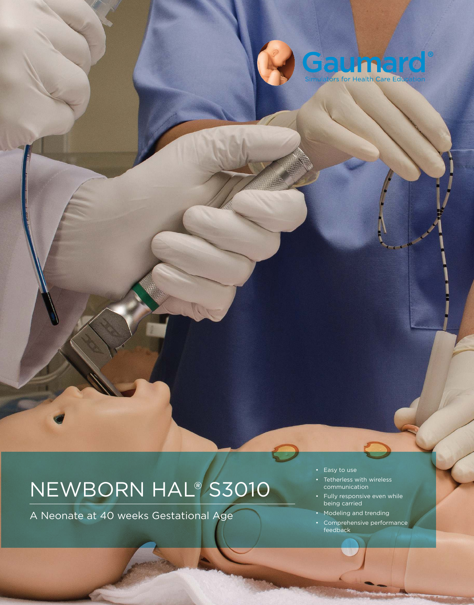

# NEWBORN HAL® S3010

A Neonate at 40 weeks Gestational Age

- Easy to use
- Tetherless with wireless communication
- Fully responsive even while being carried
- Modeling and trending
- Comprehensive performance feedback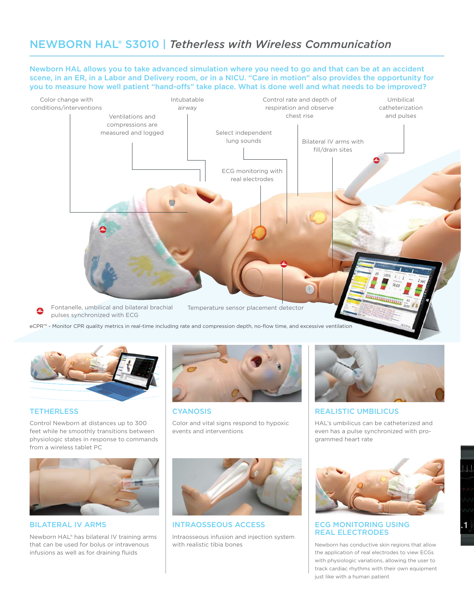# NEWBORN HAL® S3010 | *Tetherless with Wireless Communication*

Newborn HAL allows you to take advanced simulation where you need to go and that can be at an accident scene, in an ER, in a Labor and Delivery room, or in a NICU. "Care in motion" also provides the opportunity for you to measure how well patient "hand-ofs" take place. What is done well and what needs to be improved?



eCPR™ - Monitor CPR quality metrics in real-time including rate and compression depth, no-flow time, and excessive ventilation



# **TETHERLESS**

Control Newborn at distances up to 300 feet while he smoothly transitions between physiologic states in response to commands from a wireless tablet PC



BILATERAL IV ARMS

Newborn HAL® has bilateral IV training arms that can be used for bolus or intravenous infusions as well as for draining fluids



**CYANOSIS** 

Color and vital signs respond to hypoxic events and interventions



INTRAOSSEOUS ACCESS Intraosseous infusion and injection system with realistic tibia bones



# REALISTIC UMBILICUS

HAL's umbilicus can be catheterized and even has a pulse synchronized with programmed heart rate



## ECG MONITORING USING REAL ELECTRODES

Newborn has conductive skin regions that allow the application of real electrodes to view ECGs with physiologic variations, allowing the user to track cardiac rhythms with their own equipment just like with a human patient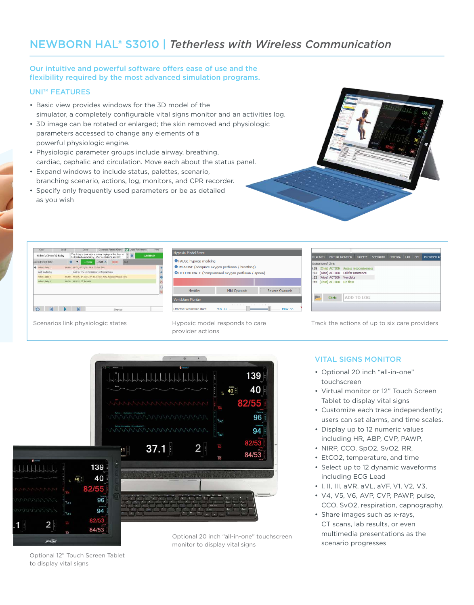# NEWBORN HAL® S3010 | *Tetherless with Wireless Communication*

# Our intuitive and powerful software offers ease of use and the flexibility required by the most advanced simulation programs.

# UNI™ FEATURES

- Basic view provides windows for the 3D model of the simulator, a completely configurable vital signs monitor and an activities log.
- 3D image can be rotated or enlarged; the skin removed and physiologic parameters accessed to change any elements of a powerful physiologic engine.
- Physiologic parameter groups include airway, breathing, cardiac, cephalic and circulation. Move each about the status panel.
- Expand windows to include status, palettes, scenario, branching scenario, actions, log, monitors, and CPR recorder.
- Specify only frequently used parameters or be as detailed as you wish



| Clear                  | Load   | <b>Gave:</b>       |                                                                                                          | Generate Patient Chart | <b>CP</b> | Auto-Responses |          | Prett.  |
|------------------------|--------|--------------------|----------------------------------------------------------------------------------------------------------|------------------------|-----------|----------------|----------|---------|
| Helen's (Irene's) Baby |        |                    | This baby is born with a severe asphyxia that has to<br>be treated emmidately, after ventiations and EPI |                        |           |                | Add Node |         |
| olen's (Irene's) Baby  | ω      | ۰                  | $+$ Path $\frac{1}{111}$<br>$+$ Item                                                                     | 100:00                 | End       |                |          |         |
| Heier/s Baby 11        | 00:00  |                    | HR 30, BP 35/20, RR 0, Q2 5at 70%                                                                        |                        |           |                |          |         |
| Wait Indufinitiely     | $\sim$ |                    | Wait for PPV, compressions, and Epinsohme.                                                               |                        |           |                |          |         |
| Halan's Baby 2         | 01:00  |                    | HR 160, BP 75/54, RR 45, 02 Sat 92%, Reduced Muscle Tone                                                 |                        |           |                |          |         |
| E ydad a hallert       | 00:30  | HR 235, D2 536 98% |                                                                                                          |                        |           |                |          | $\circ$ |
|                        |        |                    |                                                                                                          |                        |           |                |          |         |
|                        |        |                    |                                                                                                          |                        |           |                |          | X       |

| <b>Hypoxia Model State</b>         |                                                                                                         |                 |
|------------------------------------|---------------------------------------------------------------------------------------------------------|-----------------|
| PAUSE hypoxia modeling             | IMPROVE (adequate oxygen perfusion / breathing)<br>O DETERIORATE (compromised oxygen perfusion / apnea) |                 |
|                                    |                                                                                                         |                 |
| Healthy                            | <b>Mild Cvanosis</b>                                                                                    | Severe Cyanosis |
| <b>Ventilation Monitor</b>         |                                                                                                         |                 |
| <b>Effective Ventilation Rate:</b> | Min 33                                                                                                  | Max 65          |

139 40

Hypoxic model responds to care provider actions

 $\frac{1}{2}$  40<sup>°</sup>

|  |                               |                                           | <b>X LAUNCH VIRTUAL MONITOR PALETTE SCENARIO</b> |  | HYPOXIA | LAB | <b>CPR</b> | PROVIDER AC |  |
|--|-------------------------------|-------------------------------------------|--------------------------------------------------|--|---------|-----|------------|-------------|--|
|  | <b>Evaluation of Chris</b>    |                                           |                                                  |  |         |     |            |             |  |
|  |                               | 0:58 [Chris] ACTION Assess responsiveness |                                                  |  |         |     |            |             |  |
|  |                               | 1:03 [Alice] ACTION Call for assistance   |                                                  |  |         |     |            |             |  |
|  | 1:32 [Alice] ACTION Ventilate |                                           |                                                  |  |         |     |            |             |  |
|  |                               | 1:45 [Chris] ACTION 02 flow               |                                                  |  |         |     |            |             |  |
|  | <b>Chris</b>                  |                                           | ADD TO LOG                                       |  |         |     |            |             |  |

Scenarios link physiologic states Track the actions of up to six care providers Track the actions of up to six care providers

# VITAL SIGNS MONITOR

- Optional 20 inch "all-in-one" touchscreen
- Virtual monitor or 12" Touch Screen Tablet to display vital signs
- Customize each trace independently; users can set alarms, and time scales.
- Display up to 12 numeric values including HR, ABP, CVP, PAWP,
- NIRP, CCO, SpO2, SvO2, RR,
- EtCO2, temperature, and time
- Select up to 12 dynamic waveforms including ECG Lead
- I, II, III, aVR, aVL, aVF, V1, V2, V3,
- V4, V5, V6, AVP, CVP, PAWP, pulse, CCO, SvO2, respiration, capnography.
- Share images such as x-rays, CT scans, lab results, or even multimedia presentations as the scenario progresses

/55 96 -<br>141 94 ٦.,  $37.1$  $51$ 84/53 139 40  $40<sup>°</sup>$ 82/55 96 94 2 84/53 Optional 20 inch "all-in-one" touchscreen monitor to display vital signs

 $\begin{array}{c} \downarrow \\ \downarrow \\ \downarrow \end{array}$ 

Optional 12" Touch Screen Tablet to display vital signs